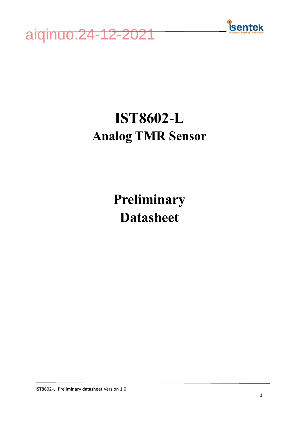



## **IST8602-L Analog TMR Sensor**

**Preliminary Datasheet**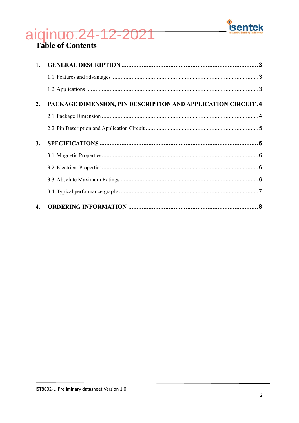

# aiginuo.24-12-2021

| 1. |                                                              |  |
|----|--------------------------------------------------------------|--|
|    |                                                              |  |
|    |                                                              |  |
| 2. | PACKAGE DIMENSION, PIN DESCRIPTION AND APPLICATION CIRCUIT.4 |  |
|    |                                                              |  |
|    |                                                              |  |
| 3. |                                                              |  |
|    |                                                              |  |
|    |                                                              |  |
|    |                                                              |  |
|    |                                                              |  |
| 4. |                                                              |  |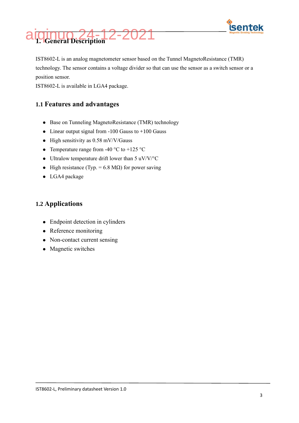



<span id="page-2-0"></span>IST8602-L is an analog magnetometer sensor based on the Tunnel MagnetoResistance (TMR) technology. The sensor contains a voltage divider so that can use the sensor as a switch sensor or a position sensor.

<span id="page-2-1"></span>IST8602-L is available in LGA4 package.

#### **1.1 Features and advantages**

- ⚫ Base on Tunneling MagnetoResistance (TMR) technology
- $\bullet$  Linear output signal from -100 Gauss to +100 Gauss
- $\bullet$  High sensitivity as 0.58 mV/V/Gauss
- Temperature range from -40  $\degree$ C to +125  $\degree$ C
- $\bullet$  Ultralow temperature drift lower than 5 uV/V/ $\rm ^{o}C$
- $\bullet$  High resistance (Typ. = 6.8 MΩ) for power saving
- ⚫ LGA4 package

#### <span id="page-2-2"></span>**1.2 Applications**

- ⚫ Endpoint detection in cylinders
- ⚫ Reference monitoring
- Non-contact current sensing
- ⚫ Magnetic switches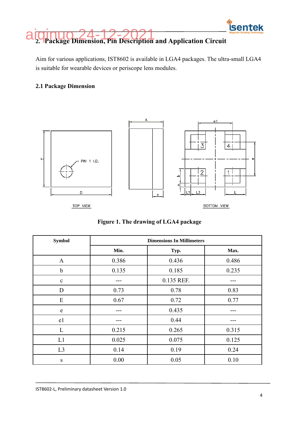

<span id="page-3-0"></span>Aim for various applications, IST8602 is available in LGA4 packages. The ultra-small LGA4 is suitable for wearable devices or periscope lens modules.

#### <span id="page-3-1"></span>2.1 Package Dimension



Figure 1. The drawing of LGA4 package

| <b>Symbol</b>  | <b>Dimensions In Millimeters</b> |            |       |  |  |
|----------------|----------------------------------|------------|-------|--|--|
|                | Min.                             | Typ.       |       |  |  |
| $\mathbf{A}$   | 0.386                            | 0.436      | 0.486 |  |  |
| $\mathbf b$    | 0.135                            | 0.185      | 0.235 |  |  |
| $\mathbf c$    |                                  | 0.135 REF. |       |  |  |
| D              | 0.73                             | 0.78       | 0.83  |  |  |
| E              | 0.67                             | 0.72       | 0.77  |  |  |
| e              |                                  | 0.435      |       |  |  |
| e1             |                                  | 0.44       |       |  |  |
| L              | 0.215                            | 0.265      | 0.315 |  |  |
| L1             | 0.025                            | 0.075      | 0.125 |  |  |
| L <sub>3</sub> | 0.14                             | 0.19       | 0.24  |  |  |
| ${\bf S}$      | 0.00                             | 0.05       | 0.10  |  |  |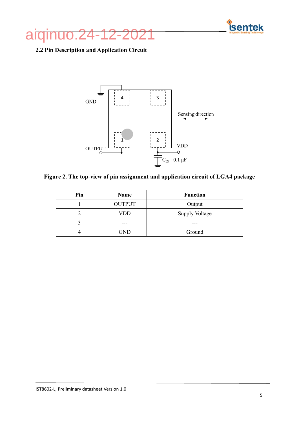



#### <span id="page-4-0"></span>2.2 Pin Description and Application Circuit



Figure 2. The top-view of pin assignment and application circuit of LGA4 package

| Pin | Name          | <b>Function</b>       |  |
|-----|---------------|-----------------------|--|
|     | <b>OUTPUT</b> | Output                |  |
|     | VDD           | <b>Supply Voltage</b> |  |
|     |               |                       |  |
|     | GND           | Ground                |  |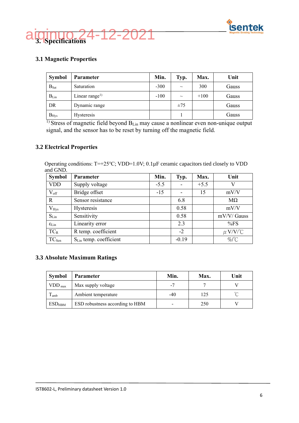



#### <span id="page-5-1"></span><span id="page-5-0"></span>**3.1 Magnetic Properties**

| <b>Symbol</b>    | <b>Parameter</b>           | Min.   | Typ.     | Max.   | Unit  |
|------------------|----------------------------|--------|----------|--------|-------|
| $B_{\text{Sat}}$ | Saturation                 | $-300$ | $\sim$   | 300    | Gauss |
| $B_{Lin}$        | Linear range <sup>1)</sup> | $-100$ | $\sim$   | $+100$ | Gauss |
| DR               | Dynamic range              |        | $\pm 75$ |        | Gauss |
| $B_{\text{Hys}}$ | Hysteresis                 |        |          |        | Gauss |

<sup>1)</sup> Stress of magnetic field beyond B<sub>Lin</sub> may cause a nonlinear even non-unique output signal, and the sensor has to be reset by turning off the magnetic field.

#### <span id="page-5-2"></span>**3.2 Electrical Properties**

Operating conditions: T=+25℃; VDD=1.0V; 0.1µF ceramic capacitors tied closely to VDD and GND.

| <b>Symbol</b>           | <b>Parameter</b>                   | Min.   | Typ.    | Max.   | Unit         |
|-------------------------|------------------------------------|--------|---------|--------|--------------|
| <b>VDD</b>              | Supply voltage                     | $-5.5$ |         | $+5.5$ | V            |
| $V_{\text{off}}$        | Bridge offset                      | $-15$  |         | 15     | mV/V         |
| $\mathbf{R}$            | Sensor resistance                  |        | 6.8     |        | $M\Omega$    |
| $V_{Hys}$               | Hysteresis                         |        | 0.58    |        | mV/V         |
| $S_{Lin}$               | Sensitivity                        |        | 0.58    |        | mV/V/ Gauss  |
| $\epsilon_{\text{Lin}}$ | Linearity error                    |        | 2.3     |        | %FS          |
| $TC_R$                  | R temp. coefficient                |        | $-2$    |        | $\mu$ V/V/°C |
| TC <sub>Sen</sub>       | S <sub>Lin</sub> temp. coefficient |        | $-0.19$ |        | $\%$ /°C     |

#### <span id="page-5-3"></span>**3.3 Absolute Maximum Ratings**

| Symbol             | <b>Parameter</b>                | Min.  | Max. | Unit |
|--------------------|---------------------------------|-------|------|------|
| $VDD_{\text{max}}$ | Max supply voltage              |       |      |      |
| $T_{amb}$          | Ambient temperature             | $-40$ | 125  |      |
| $ESD_{HBM}$        | ESD robustness according to HBM |       | 250  |      |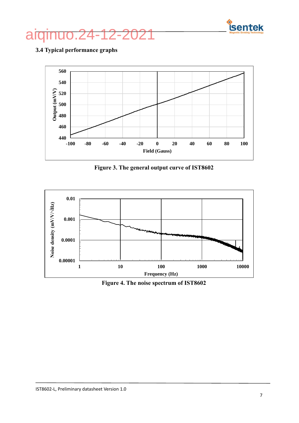

## aiqinuo.24-12-2021

### <span id="page-6-0"></span>**3.4 Typical performance graphs**



**Figure 3. The general output curve of IST8602**



**Figure 4. The noise spectrum of IST8602**